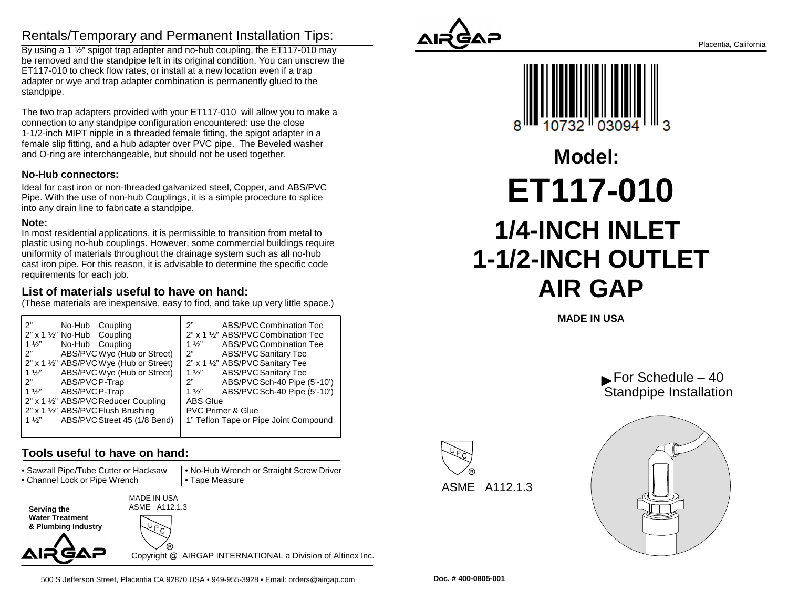### Rentals/Temporary and Permanent Installation Tips:

 By using a 1 ½" spigot trap adapter and no-hub coupling, the ET117-010 may be removed and the standpipe left in its original condition. You can unscrew theET117-010 to check flow rates, or install at a new location even if a trap adapter or wye and trap adapter combination is permanently glued to thestandpipe.

The two trap adapters provided with your ET117-010 will allow you to make aconnection to any standpipe configuration encountered: use the close 1-1/2-inch MIPT nipple in a threaded female fitting, the spigot adapter in a female slip fitting, and a hub adapter over PVC pipe. The Beveled washerand O-ring are interchangeable, but should not be used together.

### **No-Hub connectors:**

Ideal for cast iron or non-threaded galvanized steel, Copper, and ABS/PVC Pipe. With the use of non-hub Couplings, it is a simple procedure to spliceinto any drain line to fabricate a standpipe.

#### **Note:**

 In most residential applications, it is permissible to transition from metal to plastic using no-hub couplings. However, some commercial buildings requireuniformity of materials throughout the drainage system such as all no-hub cast iron pipe. For this reason, it is advisable to determine the specific coderequirements for each job.

### **List of materials useful to have on hand:**

(These materials are inexpensive, easy to find, and take up very little space.)

| 2"<br>No-Hub Coupling<br>$2"$ x 1 $\frac{1}{2}"$ No-Hub Coupling | 2"<br>ABS/PVC Combination Tee<br>2" x 1 1/2" ABS/PVC Combination Tee |
|------------------------------------------------------------------|----------------------------------------------------------------------|
| $1\frac{1}{2}$<br>No-Hub Coupling                                | ABS/PVC Combination Tee<br>1 $\frac{1}{2}$                           |
| 2"                                                               | 2"                                                                   |
| ABS/PVC Wye (Hub or Street)                                      | <b>ABS/PVC Sanitary Tee</b>                                          |
| 2" x 1 1/2" ABS/PVC Wye (Hub or Street)                          | 2" x 1 1/2" ABS/PVC Sanitary Tee                                     |
| ABS/PVC Wye (Hub or Street)<br>$1\frac{1}{2}$                    | <b>ABS/PVC Sanitary Tee</b><br>1 $\frac{1}{2}$ "                     |
| 2"<br>ABS/PVC P-Trap                                             | ABS/PVC Sch-40 Pipe (5'-10')<br>2"                                   |
| ABS/PVC P-Trap<br>$1\frac{1}{2}$                                 | ABS/PVC Sch-40 Pipe (5'-10')<br>$1\frac{1}{2}$                       |
| 2" x 1 1/2" ABS/PVC Reducer Coupling                             | <b>ABS Glue</b>                                                      |
| 2" x 1 1/2" ABS/PVC Flush Brushing                               | <b>PVC Primer &amp; Glue</b>                                         |
| ABS/PVC Street 45 (1/8 Bend)<br>$1\frac{1}{2}$                   | 1" Teflon Tape or Pipe Joint Compound                                |
|                                                                  |                                                                      |

### **Tools useful to have on hand:**

• Sawzall Pipe/Tube Cutter or Hacksaw

• Channel Lock or Pipe Wrench

 • No-Hub Wrench or Straight Screw Driver• Tape Measure

**Serving the Water Treatment & Plumbing Industry** MADE IN USAASME A112.1.3

GAP

Copyright @ AIRGAP INTERNATIONAL a Division of Altinex Inc.





# **1/4-INCH INLET 1-1/2-INCH OUTLETAIR GAPET117-010Model:**

**MADE IN USA**







500 S Jefferson Street, Placentia CA 92870 USA • 949-955-3928 • Email: orders@airgap.com